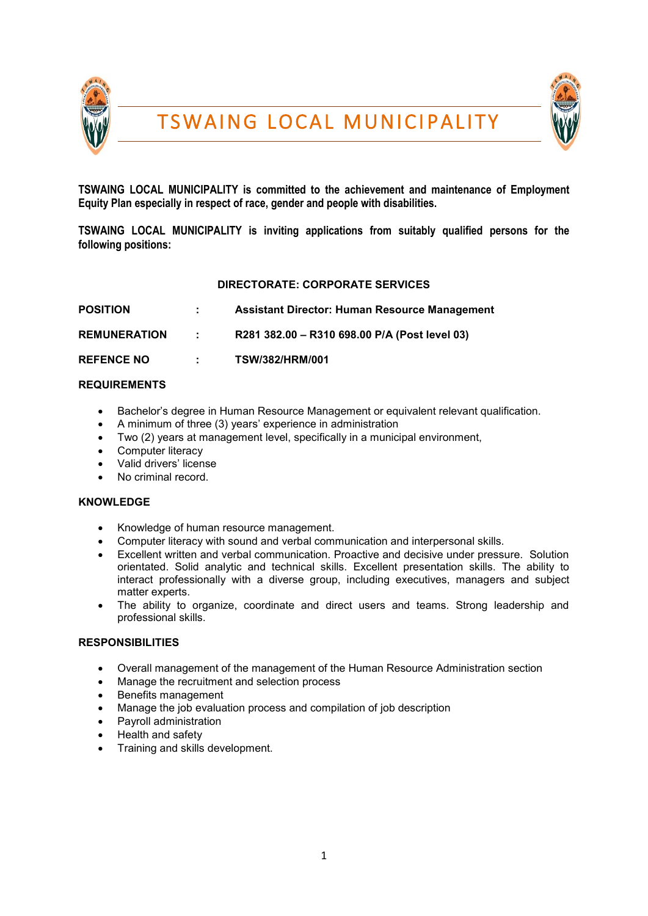



**TSWAING LOCAL MUNICIPALITY is committed to the achievement and maintenance of Employment Equity Plan especially in respect of race, gender and people with disabilities.**

**TSWAING LOCAL MUNICIPALITY is inviting applications from suitably qualified persons for the following positions:** 

# **DIRECTORATE: CORPORATE SERVICES**

| <b>POSITION</b>     |                          | Assistant Director: Human Resource Management |
|---------------------|--------------------------|-----------------------------------------------|
| <b>REMUNERATION</b> | <b>Contract Contract</b> | R281 382.00 - R310 698.00 P/A (Post level 03) |
| <b>REFENCE NO</b>   | diam.                    | <b>TSW/382/HRM/001</b>                        |

# **REQUIREMENTS**

- Bachelor's degree in Human Resource Management or equivalent relevant qualification.
- A minimum of three (3) years' experience in administration
- Two (2) years at management level, specifically in a municipal environment,
- Computer literacy
- Valid drivers' license
- No criminal record.

# **KNOWLEDGE**

- Knowledge of human resource management.
- Computer literacy with sound and verbal communication and interpersonal skills.
- Excellent written and verbal communication. Proactive and decisive under pressure. Solution orientated. Solid analytic and technical skills. Excellent presentation skills. The ability to interact professionally with a diverse group, including executives, managers and subject matter experts.
- The ability to organize, coordinate and direct users and teams. Strong leadership and professional skills.

# **RESPONSIBILITIES**

- Overall management of the management of the Human Resource Administration section
- Manage the recruitment and selection process
- Benefits management
- Manage the job evaluation process and compilation of job description
- Payroll administration
- $\bullet$  Health and safety
- Training and skills development.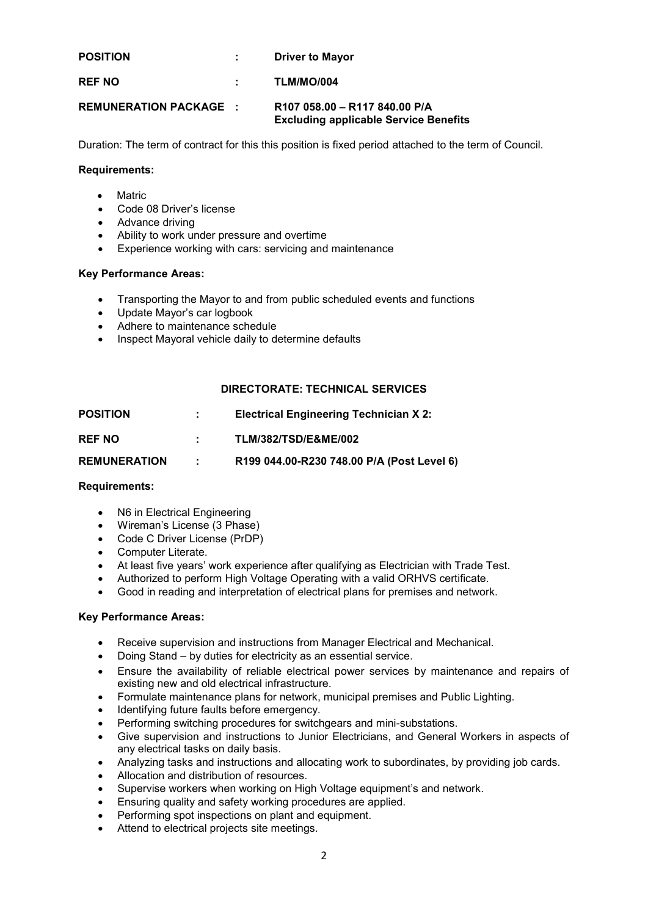| <b>POSITION</b>               | <b>Driver to Mayor</b>                                                        |
|-------------------------------|-------------------------------------------------------------------------------|
| <b>REF NO</b>                 | TLM/MO/004                                                                    |
| <b>REMUNERATION PACKAGE :</b> | R107 058.00 - R117 840.00 P/A<br><b>Excluding applicable Service Benefits</b> |

Duration: The term of contract for this this position is fixed period attached to the term of Council.

## **Requirements:**

- Matric
- Code 08 Driver's license
- Advance driving
- Ability to work under pressure and overtime
- Experience working with cars: servicing and maintenance

#### **Key Performance Areas:**

- Transporting the Mayor to and from public scheduled events and functions
- Update Mayor's car logbook
- Adhere to maintenance schedule
- Inspect Mayoral vehicle daily to determine defaults

# **DIRECTORATE: TECHNICAL SERVICES**

| <b>POSITION</b>     |               | <b>Electrical Engineering Technician X 2:</b> |
|---------------------|---------------|-----------------------------------------------|
| <b>REF NO</b>       |               | <b>TLM/382/TSD/E&amp;ME/002</b>               |
| <b>REMUNERATION</b> | $\mathcal{L}$ | R199 044.00-R230 748.00 P/A (Post Level 6)    |

#### **Requirements:**

- N6 in Electrical Engineering
- Wireman's License (3 Phase)
- Code C Driver License (PrDP)
- Computer Literate.
- At least five years' work experience after qualifying as Electrician with Trade Test.
- Authorized to perform High Voltage Operating with a valid ORHVS certificate.
- Good in reading and interpretation of electrical plans for premises and network.

#### **Key Performance Areas:**

- Receive supervision and instructions from Manager Electrical and Mechanical.
- Doing Stand by duties for electricity as an essential service.
- Ensure the availability of reliable electrical power services by maintenance and repairs of existing new and old electrical infrastructure.
- Formulate maintenance plans for network, municipal premises and Public Lighting.
- Identifying future faults before emergency.
- Performing switching procedures for switchgears and mini-substations.
- Give supervision and instructions to Junior Electricians, and General Workers in aspects of any electrical tasks on daily basis.
- Analyzing tasks and instructions and allocating work to subordinates, by providing job cards.
- Allocation and distribution of resources.
- Supervise workers when working on High Voltage equipment's and network.
- Ensuring quality and safety working procedures are applied.
- Performing spot inspections on plant and equipment.
- Attend to electrical projects site meetings.